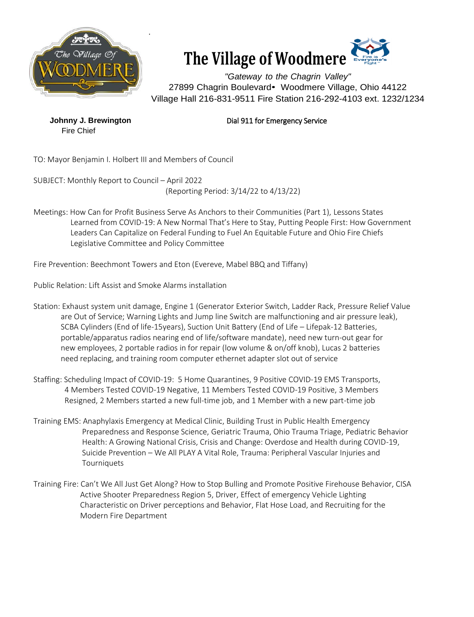



*"Gateway to the Chagrin Valley"* 27899 Chagrin Boulevard• Woodmere Village, Ohio 44122 Village Hall 216-831-9511 Fire Station 216-292-4103 ext. 1232/1234

Fire Chief

## **Johnny J. Brewington Dial 911 for Emergency Service**

TO: Mayor Benjamin I. Holbert III and Members of Council

SUBJECT: Monthly Report to Council – April 2022 (Reporting Period: 3/14/22 to 4/13/22)

Meetings: How Can for Profit Business Serve As Anchors to their Communities (Part 1), Lessons States Learned from COVID-19: A New Normal That's Here to Stay, Putting People First: How Government Leaders Can Capitalize on Federal Funding to Fuel An Equitable Future and Ohio Fire Chiefs Legislative Committee and Policy Committee

Fire Prevention: Beechmont Towers and Eton (Evereve, Mabel BBQ and Tiffany)

Public Relation: Lift Assist and Smoke Alarms installation

- Station: Exhaust system unit damage, Engine 1 (Generator Exterior Switch, Ladder Rack, Pressure Relief Value are Out of Service; Warning Lights and Jump line Switch are malfunctioning and air pressure leak), SCBA Cylinders (End of life-15years), Suction Unit Battery (End of Life – Lifepak-12 Batteries, portable/apparatus radios nearing end of life/software mandate), need new turn-out gear for new employees, 2 portable radios in for repair (low volume & on/off knob), Lucas 2 batteries need replacing, and training room computer ethernet adapter slot out of service
- Staffing: Scheduling Impact of COVID-19: 5 Home Quarantines, 9 Positive COVID-19 EMS Transports, 4 Members Tested COVID-19 Negative, 11 Members Tested COVID-19 Positive, 3 Members Resigned, 2 Members started a new full-time job, and 1 Member with a new part-time job
- Training EMS: Anaphylaxis Emergency at Medical Clinic, Building Trust in Public Health Emergency Preparedness and Response Science, Geriatric Trauma, Ohio Trauma Triage, Pediatric Behavior Health: A Growing National Crisis, Crisis and Change: Overdose and Health during COVID-19, Suicide Prevention – We All PLAY A Vital Role, Trauma: Peripheral Vascular Injuries and **Tourniquets**
- Training Fire: Can't We All Just Get Along? How to Stop Bulling and Promote Positive Firehouse Behavior, CISA Active Shooter Preparedness Region 5, Driver, Effect of emergency Vehicle Lighting Characteristic on Driver perceptions and Behavior, Flat Hose Load, and Recruiting for the Modern Fire Department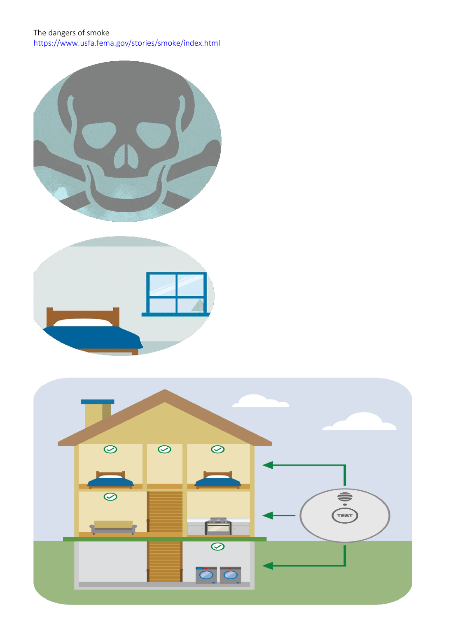The dangers of smoke <https://www.usfa.fema.gov/stories/smoke/index.html>





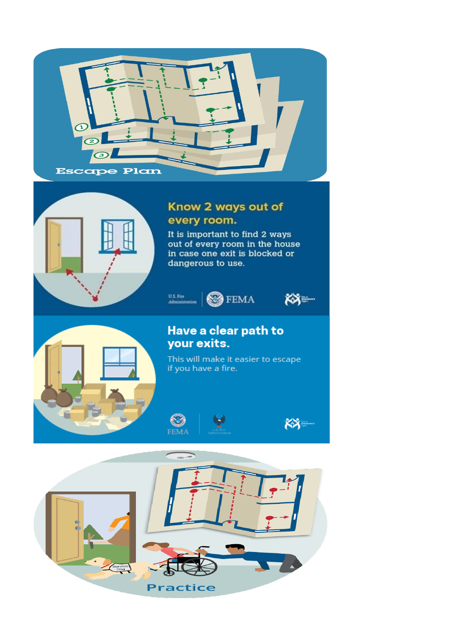



## Know 2 ways out of every room.

It is important to find 2 ways out of every room in the house in case one exit is blocked or dangerous to use.





## Have a clear path to your exits.

This will make it easier to escape if you have a fire.

 $KX$ 



 $\boldsymbol{\Omega}$ 

**FEMA**